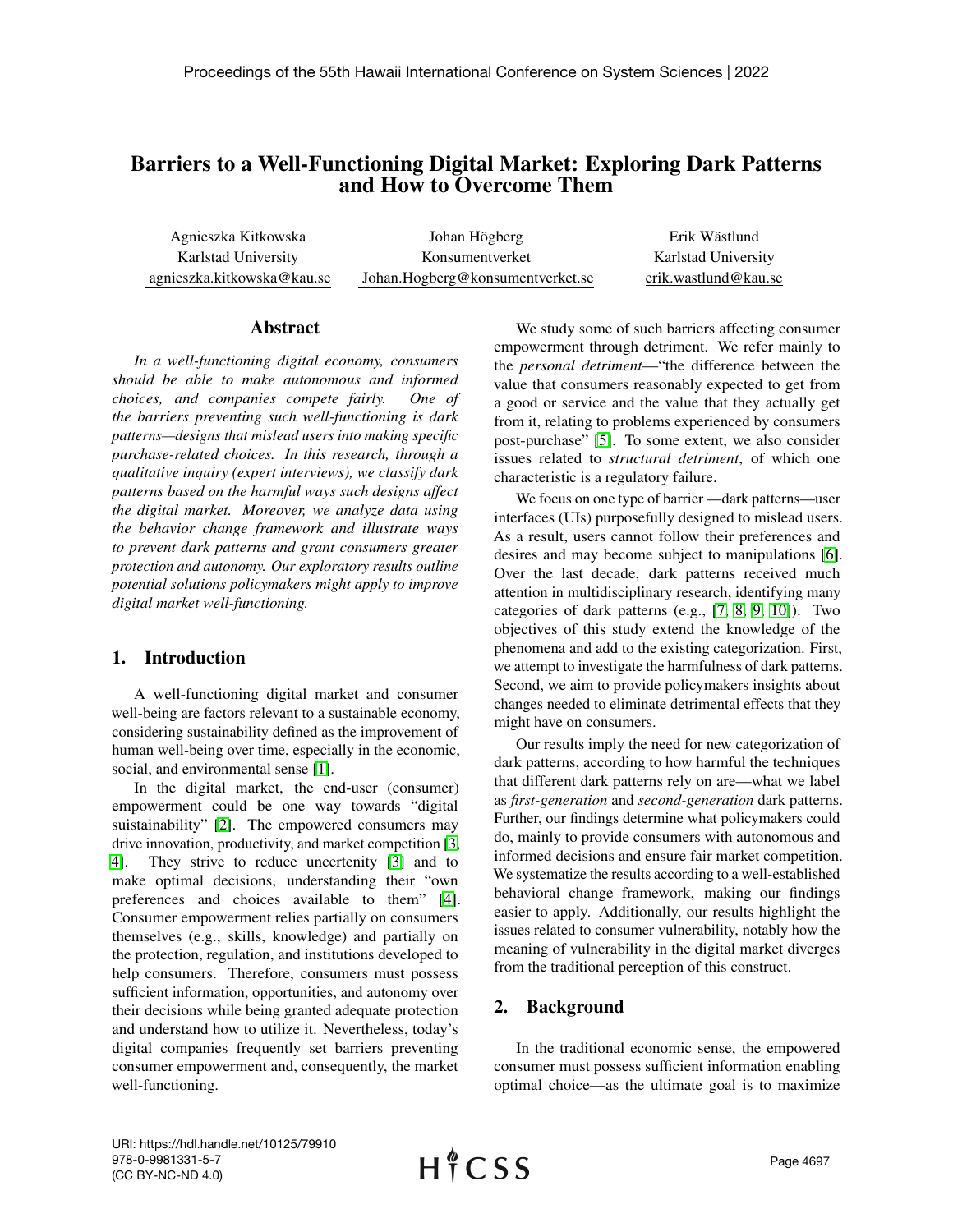# Barriers to a Well-Functioning Digital Market: Exploring Dark Patterns and How to Overcome Them

Agnieszka Kitkowska Karlstad University agnieszka.kitkowska@kau.se

Johan Högberg Konsumentverket Johan.Hogberg@konsumentverket.se

Erik Wästlund Karlstad University erik.wastlund@kau.se

#### Abstract

*In a well-functioning digital economy, consumers should be able to make autonomous and informed choices, and companies compete fairly. One of the barriers preventing such well-functioning is dark patterns—designs that mislead users into making specific purchase-related choices. In this research, through a qualitative inquiry (expert interviews), we classify dark patterns based on the harmful ways such designs affect the digital market. Moreover, we analyze data using the behavior change framework and illustrate ways to prevent dark patterns and grant consumers greater protection and autonomy. Our exploratory results outline potential solutions policymakers might apply to improve digital market well-functioning.*

# 1. Introduction

A well-functioning digital market and consumer well-being are factors relevant to a sustainable economy, considering sustainability defined as the improvement of human well-being over time, especially in the economic, social, and environmental sense [\[1\]](#page-8-0).

In the digital market, the end-user (consumer) empowerment could be one way towards "digital suistainability" [\[2\]](#page-8-1). The empowered consumers may drive innovation, productivity, and market competition [\[3,](#page-9-0) [4\]](#page-9-1). They strive to reduce uncertenity [\[3\]](#page-9-0) and to make optimal decisions, understanding their "own preferences and choices available to them" [\[4\]](#page-9-1). Consumer empowerment relies partially on consumers themselves (e.g., skills, knowledge) and partially on the protection, regulation, and institutions developed to help consumers. Therefore, consumers must possess sufficient information, opportunities, and autonomy over their decisions while being granted adequate protection and understand how to utilize it. Nevertheless, today's digital companies frequently set barriers preventing consumer empowerment and, consequently, the market well-functioning.

We study some of such barriers affecting consumer empowerment through detriment. We refer mainly to the *personal detriment*—"the difference between the value that consumers reasonably expected to get from a good or service and the value that they actually get from it, relating to problems experienced by consumers post-purchase" [\[5\]](#page-9-2). To some extent, we also consider issues related to *structural detriment*, of which one characteristic is a regulatory failure.

We focus on one type of barrier —dark patterns—user interfaces (UIs) purposefully designed to mislead users. As a result, users cannot follow their preferences and desires and may become subject to manipulations [\[6\]](#page-9-3). Over the last decade, dark patterns received much attention in multidisciplinary research, identifying many categories of dark patterns (e.g., [\[7,](#page-9-4) [8,](#page-9-5) [9,](#page-9-6) [10\]](#page-9-7)). Two objectives of this study extend the knowledge of the phenomena and add to the existing categorization. First, we attempt to investigate the harmfulness of dark patterns. Second, we aim to provide policymakers insights about changes needed to eliminate detrimental effects that they might have on consumers.

Our results imply the need for new categorization of dark patterns, according to how harmful the techniques that different dark patterns rely on are—what we label as *first-generation* and *second-generation* dark patterns. Further, our findings determine what policymakers could do, mainly to provide consumers with autonomous and informed decisions and ensure fair market competition. We systematize the results according to a well-established behavioral change framework, making our findings easier to apply. Additionally, our results highlight the issues related to consumer vulnerability, notably how the meaning of vulnerability in the digital market diverges from the traditional perception of this construct.

# 2. Background

In the traditional economic sense, the empowered consumer must possess sufficient information enabling optimal choice—as the ultimate goal is to maximize

URI: https://hdl.handle.net/10125/79910 978-0-9981331-5-7 (CC BY-NC-ND 4.0)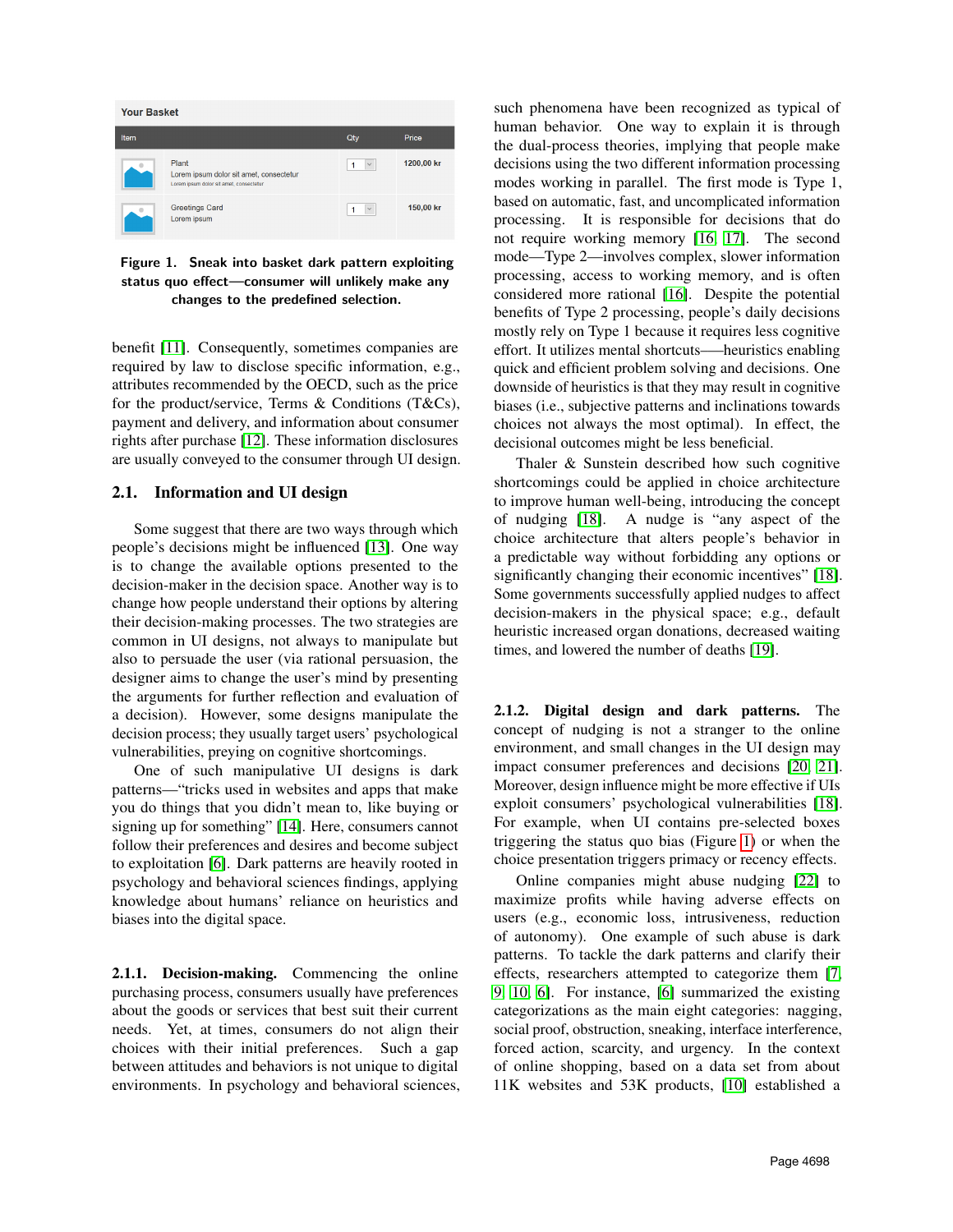

<span id="page-1-0"></span>Figure 1. Sneak into basket dark pattern exploiting status quo effect—consumer will unlikely make any changes to the predefined selection.

benefit [\[11\]](#page-9-8). Consequently, sometimes companies are required by law to disclose specific information, e.g., attributes recommended by the OECD, such as the price for the product/service, Terms & Conditions (T&Cs), payment and delivery, and information about consumer rights after purchase [\[12\]](#page-9-9). These information disclosures are usually conveyed to the consumer through UI design.

### 2.1. Information and UI design

Some suggest that there are two ways through which people's decisions might be influenced [\[13\]](#page-9-10). One way is to change the available options presented to the decision-maker in the decision space. Another way is to change how people understand their options by altering their decision-making processes. The two strategies are common in UI designs, not always to manipulate but also to persuade the user (via rational persuasion, the designer aims to change the user's mind by presenting the arguments for further reflection and evaluation of a decision). However, some designs manipulate the decision process; they usually target users' psychological vulnerabilities, preying on cognitive shortcomings.

One of such manipulative UI designs is dark patterns—"tricks used in websites and apps that make you do things that you didn't mean to, like buying or signing up for something" [\[14\]](#page-9-11). Here, consumers cannot follow their preferences and desires and become subject to exploitation [\[6\]](#page-9-3). Dark patterns are heavily rooted in psychology and behavioral sciences findings, applying knowledge about humans' reliance on heuristics and biases into the digital space.

2.1.1. Decision-making. Commencing the online purchasing process, consumers usually have preferences about the goods or services that best suit their current needs. Yet, at times, consumers do not align their choices with their initial preferences. Such a gap between attitudes and behaviors is not unique to digital environments. In psychology and behavioral sciences,

such phenomena have been recognized as typical of human behavior. One way to explain it is through the dual-process theories, implying that people make decisions using the two different information processing modes working in parallel. The first mode is Type 1, based on automatic, fast, and uncomplicated information processing. It is responsible for decisions that do not require working memory [\[16,](#page-9-12) [17\]](#page-9-13). The second mode—Type 2—involves complex, slower information processing, access to working memory, and is often considered more rational [\[16\]](#page-9-12). Despite the potential benefits of Type 2 processing, people's daily decisions mostly rely on Type 1 because it requires less cognitive effort. It utilizes mental shortcuts–—heuristics enabling quick and efficient problem solving and decisions. One downside of heuristics is that they may result in cognitive biases (i.e., subjective patterns and inclinations towards choices not always the most optimal). In effect, the decisional outcomes might be less beneficial.

Thaler & Sunstein described how such cognitive shortcomings could be applied in choice architecture to improve human well-being, introducing the concept of nudging [\[18\]](#page-9-14). A nudge is "any aspect of the choice architecture that alters people's behavior in a predictable way without forbidding any options or significantly changing their economic incentives" [\[18\]](#page-9-14). Some governments successfully applied nudges to affect decision-makers in the physical space; e.g., default heuristic increased organ donations, decreased waiting times, and lowered the number of deaths [\[19\]](#page-9-15).

2.1.2. Digital design and dark patterns. The concept of nudging is not a stranger to the online environment, and small changes in the UI design may impact consumer preferences and decisions [\[20,](#page-9-16) [21\]](#page-9-17). Moreover, design influence might be more effective if UIs exploit consumers' psychological vulnerabilities [\[18\]](#page-9-14). For example, when UI contains pre-selected boxes triggering the status quo bias (Figure [1\)](#page-1-0) or when the choice presentation triggers primacy or recency effects.

Online companies might abuse nudging [\[22\]](#page-9-18) to maximize profits while having adverse effects on users (e.g., economic loss, intrusiveness, reduction of autonomy). One example of such abuse is dark patterns. To tackle the dark patterns and clarify their effects, researchers attempted to categorize them [\[7,](#page-9-4) [9,](#page-9-6) [10,](#page-9-7) [6\]](#page-9-3). For instance, [\[6\]](#page-9-3) summarized the existing categorizations as the main eight categories: nagging, social proof, obstruction, sneaking, interface interference, forced action, scarcity, and urgency. In the context of online shopping, based on a data set from about 11K websites and 53K products, [\[10\]](#page-9-7) established a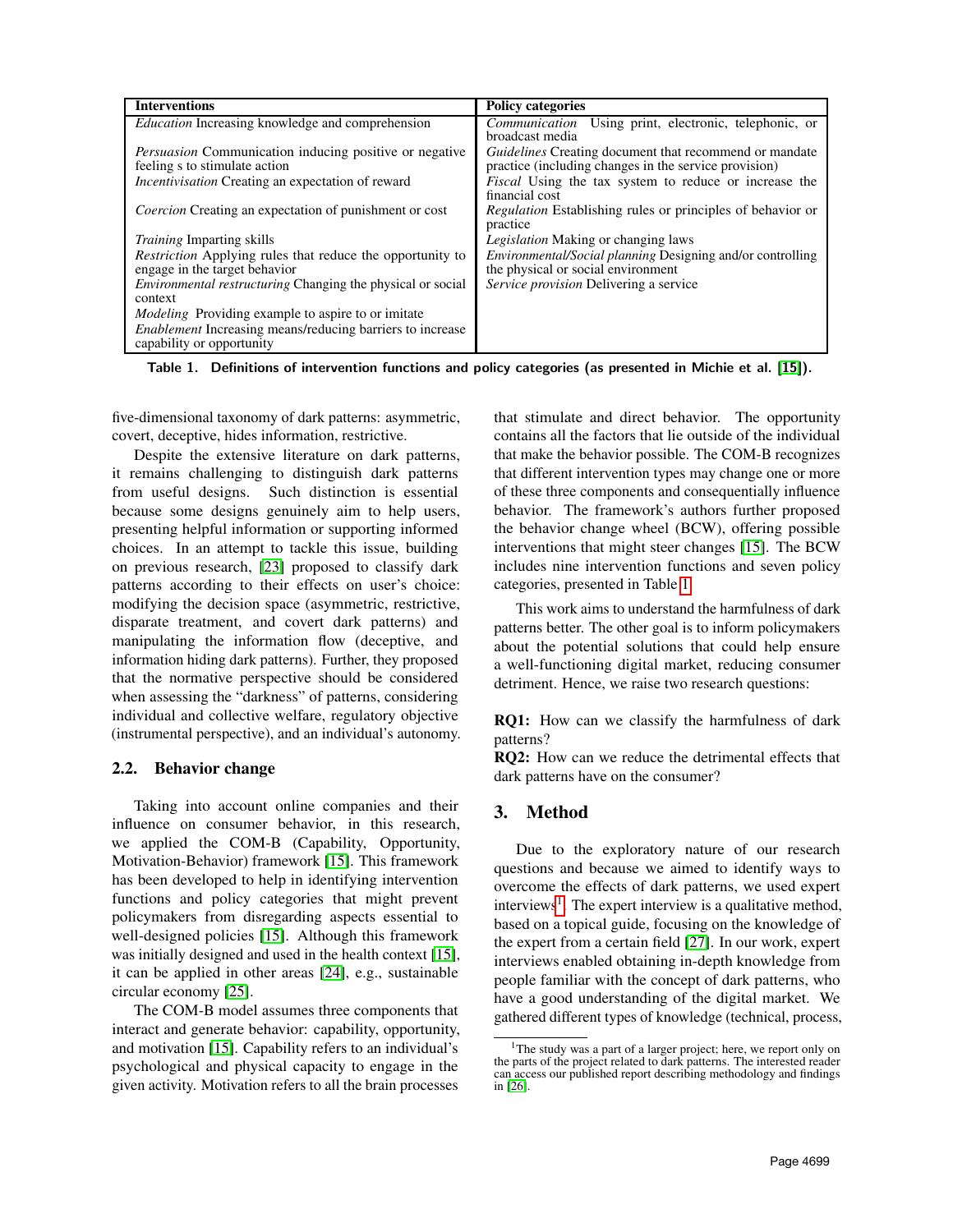| <b>Interventions</b>                                                                                                                                       | <b>Policy categories</b>                                                                                                                                                        |
|------------------------------------------------------------------------------------------------------------------------------------------------------------|---------------------------------------------------------------------------------------------------------------------------------------------------------------------------------|
| <i>Education</i> Increasing knowledge and comprehension                                                                                                    | <i>Communication</i> Using print, electronic, telephonic, or<br>broadcast media                                                                                                 |
| <i>Persuasion</i> Communication inducing positive or negative<br>feeling s to stimulate action<br><i>Incentivisation</i> Creating an expectation of reward | <i>Guidelines</i> Creating document that recommend or mandate<br>practice (including changes in the service provision)<br>Fiscal Using the tax system to reduce or increase the |
| <i>Coercion</i> Creating an expectation of punishment or cost                                                                                              | financial cost<br><i>Regulation</i> Establishing rules or principles of behavior or<br>practice                                                                                 |
| <i>Training</i> Imparting skills                                                                                                                           | <i>Legislation</i> Making or changing laws                                                                                                                                      |
| <i>Restriction</i> Applying rules that reduce the opportunity to                                                                                           | <i>Environmental/Social planning Designing and/or controlling</i>                                                                                                               |
| engage in the target behavior                                                                                                                              | the physical or social environment                                                                                                                                              |
| <i>Environmental restructuring</i> Changing the physical or social                                                                                         | Service provision Delivering a service                                                                                                                                          |
| context                                                                                                                                                    |                                                                                                                                                                                 |
| <i>Modeling</i> Providing example to aspire to or imitate                                                                                                  |                                                                                                                                                                                 |
| <i>Enablement</i> Increasing means/reducing barriers to increase                                                                                           |                                                                                                                                                                                 |
| capability or opportunity                                                                                                                                  |                                                                                                                                                                                 |

<span id="page-2-0"></span>Table 1. Definitions of intervention functions and policy categories (as presented in Michie et al. [\[15\]](#page-9-19)).

five-dimensional taxonomy of dark patterns: asymmetric, covert, deceptive, hides information, restrictive.

Despite the extensive literature on dark patterns, it remains challenging to distinguish dark patterns from useful designs. Such distinction is essential because some designs genuinely aim to help users, presenting helpful information or supporting informed choices. In an attempt to tackle this issue, building on previous research, [\[23\]](#page-9-20) proposed to classify dark patterns according to their effects on user's choice: modifying the decision space (asymmetric, restrictive, disparate treatment, and covert dark patterns) and manipulating the information flow (deceptive, and information hiding dark patterns). Further, they proposed that the normative perspective should be considered when assessing the "darkness" of patterns, considering individual and collective welfare, regulatory objective (instrumental perspective), and an individual's autonomy.

#### 2.2. Behavior change

Taking into account online companies and their influence on consumer behavior, in this research, we applied the COM-B (Capability, Opportunity, Motivation-Behavior) framework [\[15\]](#page-9-19). This framework has been developed to help in identifying intervention functions and policy categories that might prevent policymakers from disregarding aspects essential to well-designed policies [\[15\]](#page-9-19). Although this framework was initially designed and used in the health context [\[15\]](#page-9-19), it can be applied in other areas [\[24\]](#page-9-21), e.g., sustainable circular economy [\[25\]](#page-9-22).

The COM-B model assumes three components that interact and generate behavior: capability, opportunity, and motivation [\[15\]](#page-9-19). Capability refers to an individual's psychological and physical capacity to engage in the given activity. Motivation refers to all the brain processes

that stimulate and direct behavior. The opportunity contains all the factors that lie outside of the individual that make the behavior possible. The COM-B recognizes that different intervention types may change one or more of these three components and consequentially influence behavior. The framework's authors further proposed the behavior change wheel (BCW), offering possible interventions that might steer changes [\[15\]](#page-9-19). The BCW includes nine intervention functions and seven policy categories, presented in Table [1.](#page-2-0)

This work aims to understand the harmfulness of dark patterns better. The other goal is to inform policymakers about the potential solutions that could help ensure a well-functioning digital market, reducing consumer detriment. Hence, we raise two research questions:

RQ1: How can we classify the harmfulness of dark patterns?

RQ2: How can we reduce the detrimental effects that dark patterns have on the consumer?

# 3. Method

Due to the exploratory nature of our research questions and because we aimed to identify ways to overcome the effects of dark patterns, we used expert interviews<sup>[1](#page-2-1)</sup>. The expert interview is a qualitative method, based on a topical guide, focusing on the knowledge of the expert from a certain field [\[27\]](#page-9-23). In our work, expert interviews enabled obtaining in-depth knowledge from people familiar with the concept of dark patterns, who have a good understanding of the digital market. We gathered different types of knowledge (technical, process,

<span id="page-2-1"></span><sup>&</sup>lt;sup>1</sup>The study was a part of a larger project; here, we report only on the parts of the project related to dark patterns. The interested reader can access our published report describing methodology and findings in [\[26\]](#page-9-24).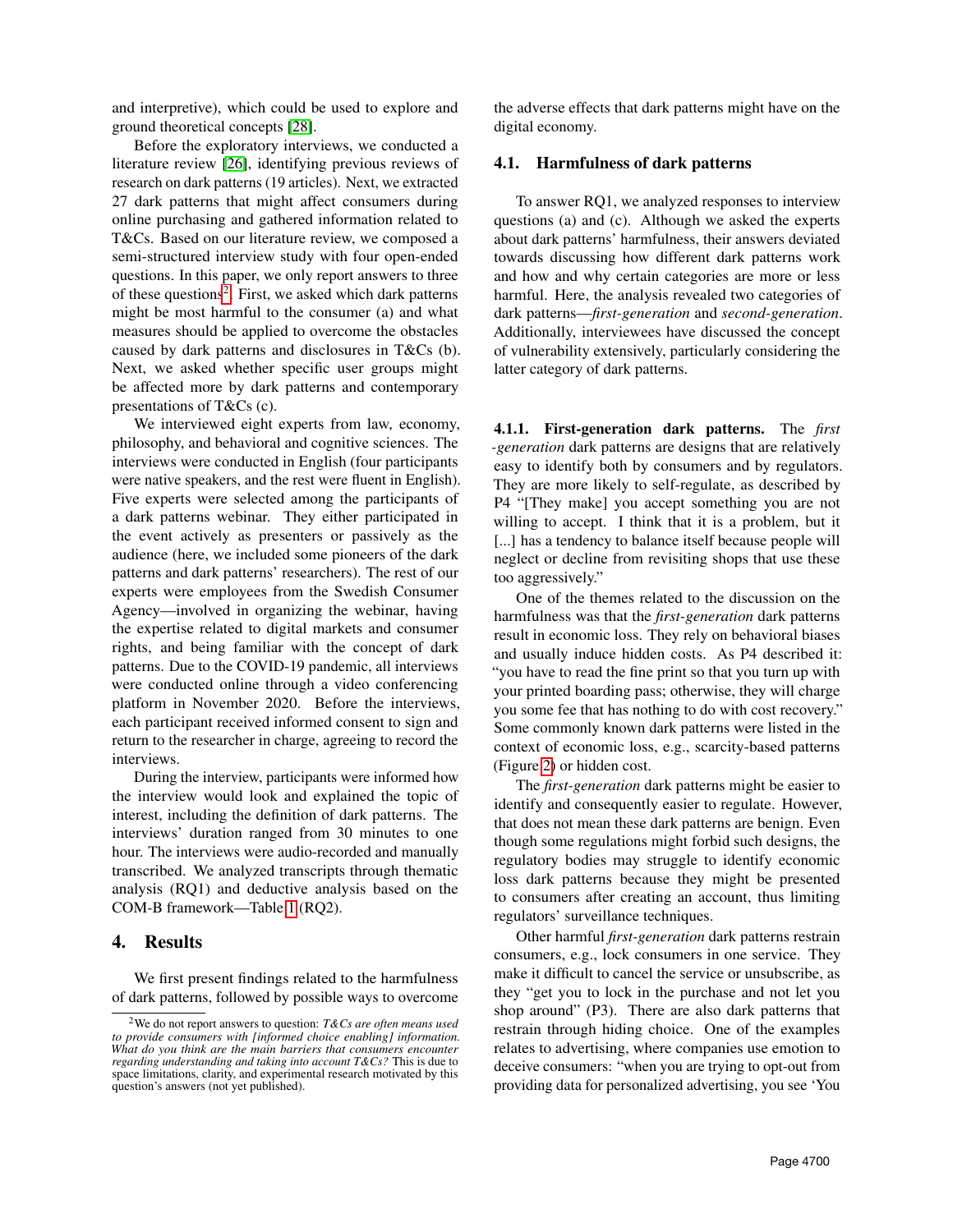and interpretive), which could be used to explore and ground theoretical concepts [\[28\]](#page-9-25).

Before the exploratory interviews, we conducted a literature review [\[26\]](#page-9-24), identifying previous reviews of research on dark patterns (19 articles). Next, we extracted 27 dark patterns that might affect consumers during online purchasing and gathered information related to T&Cs. Based on our literature review, we composed a semi-structured interview study with four open-ended questions. In this paper, we only report answers to three of these questions<sup>[2](#page-3-0)</sup>. First, we asked which dark patterns might be most harmful to the consumer (a) and what measures should be applied to overcome the obstacles caused by dark patterns and disclosures in T&Cs (b). Next, we asked whether specific user groups might be affected more by dark patterns and contemporary presentations of T&Cs (c).

We interviewed eight experts from law, economy, philosophy, and behavioral and cognitive sciences. The interviews were conducted in English (four participants were native speakers, and the rest were fluent in English). Five experts were selected among the participants of a dark patterns webinar. They either participated in the event actively as presenters or passively as the audience (here, we included some pioneers of the dark patterns and dark patterns' researchers). The rest of our experts were employees from the Swedish Consumer Agency—involved in organizing the webinar, having the expertise related to digital markets and consumer rights, and being familiar with the concept of dark patterns. Due to the COVID-19 pandemic, all interviews were conducted online through a video conferencing platform in November 2020. Before the interviews, each participant received informed consent to sign and return to the researcher in charge, agreeing to record the interviews.

During the interview, participants were informed how the interview would look and explained the topic of interest, including the definition of dark patterns. The interviews' duration ranged from 30 minutes to one hour. The interviews were audio-recorded and manually transcribed. We analyzed transcripts through thematic analysis (RQ1) and deductive analysis based on the COM-B framework—Table [1](#page-2-0) (RQ2).

#### 4. Results

We first present findings related to the harmfulness of dark patterns, followed by possible ways to overcome

the adverse effects that dark patterns might have on the digital economy.

#### 4.1. Harmfulness of dark patterns

To answer RQ1, we analyzed responses to interview questions (a) and (c). Although we asked the experts about dark patterns' harmfulness, their answers deviated towards discussing how different dark patterns work and how and why certain categories are more or less harmful. Here, the analysis revealed two categories of dark patterns—*first-generation* and *second-generation*. Additionally, interviewees have discussed the concept of vulnerability extensively, particularly considering the latter category of dark patterns.

4.1.1. First-generation dark patterns. The *first -generation* dark patterns are designs that are relatively easy to identify both by consumers and by regulators. They are more likely to self-regulate, as described by P4 "[They make] you accept something you are not willing to accept. I think that it is a problem, but it [...] has a tendency to balance itself because people will neglect or decline from revisiting shops that use these too aggressively."

One of the themes related to the discussion on the harmfulness was that the *first-generation* dark patterns result in economic loss. They rely on behavioral biases and usually induce hidden costs. As P4 described it: "you have to read the fine print so that you turn up with your printed boarding pass; otherwise, they will charge you some fee that has nothing to do with cost recovery." Some commonly known dark patterns were listed in the context of economic loss, e.g., scarcity-based patterns (Figure [2\)](#page-4-0) or hidden cost.

The *first-generation* dark patterns might be easier to identify and consequently easier to regulate. However, that does not mean these dark patterns are benign. Even though some regulations might forbid such designs, the regulatory bodies may struggle to identify economic loss dark patterns because they might be presented to consumers after creating an account, thus limiting regulators' surveillance techniques.

Other harmful *first-generation* dark patterns restrain consumers, e.g., lock consumers in one service. They make it difficult to cancel the service or unsubscribe, as they "get you to lock in the purchase and not let you shop around" (P3). There are also dark patterns that restrain through hiding choice. One of the examples relates to advertising, where companies use emotion to deceive consumers: "when you are trying to opt-out from providing data for personalized advertising, you see 'You

<span id="page-3-0"></span><sup>2</sup>We do not report answers to question: *T&Cs are often means used to provide consumers with [informed choice enabling] information. What do you think are the main barriers that consumers encounter regarding understanding and taking into account T&Cs?* This is due to space limitations, clarity, and experimental research motivated by this question's answers (not yet published).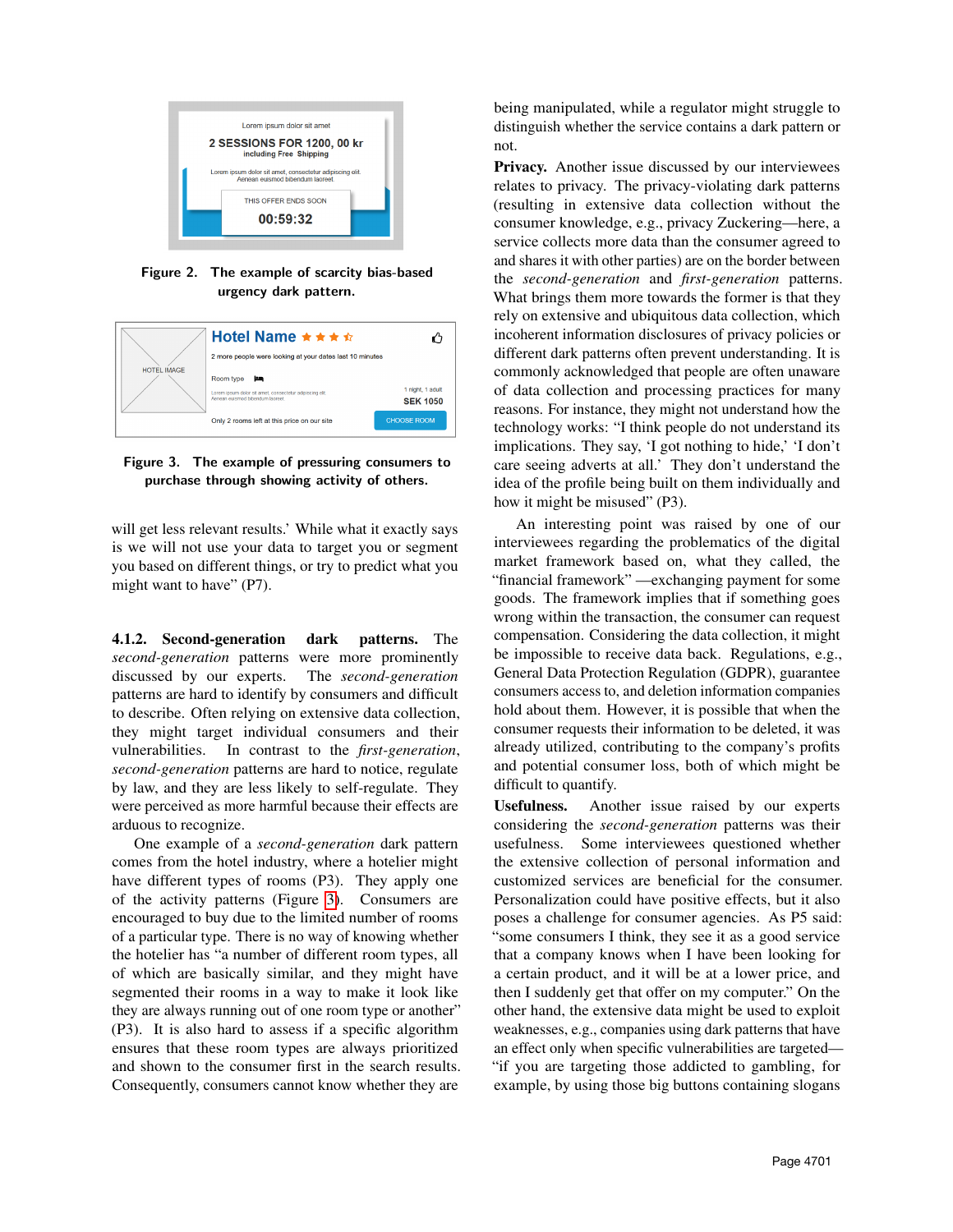

<span id="page-4-0"></span>Figure 2. The example of scarcity bias-based urgency dark pattern.



<span id="page-4-1"></span>Figure 3. The example of pressuring consumers to purchase through showing activity of others.

will get less relevant results.' While what it exactly says is we will not use your data to target you or segment you based on different things, or try to predict what you might want to have" (P7).

4.1.2. Second-generation dark patterns. The *second-generation* patterns were more prominently discussed by our experts. The *second-generation* patterns are hard to identify by consumers and difficult to describe. Often relying on extensive data collection, they might target individual consumers and their vulnerabilities. In contrast to the *first-generation*, *second-generation* patterns are hard to notice, regulate by law, and they are less likely to self-regulate. They were perceived as more harmful because their effects are arduous to recognize.

One example of a *second-generation* dark pattern comes from the hotel industry, where a hotelier might have different types of rooms (P3). They apply one of the activity patterns (Figure [3\)](#page-4-1). Consumers are encouraged to buy due to the limited number of rooms of a particular type. There is no way of knowing whether the hotelier has "a number of different room types, all of which are basically similar, and they might have segmented their rooms in a way to make it look like they are always running out of one room type or another" (P3). It is also hard to assess if a specific algorithm ensures that these room types are always prioritized and shown to the consumer first in the search results. Consequently, consumers cannot know whether they are

being manipulated, while a regulator might struggle to distinguish whether the service contains a dark pattern or not.

**Privacy.** Another issue discussed by our interviewees relates to privacy. The privacy-violating dark patterns (resulting in extensive data collection without the consumer knowledge, e.g., privacy Zuckering—here, a service collects more data than the consumer agreed to and shares it with other parties) are on the border between the *second-generation* and *first-generation* patterns. What brings them more towards the former is that they rely on extensive and ubiquitous data collection, which incoherent information disclosures of privacy policies or different dark patterns often prevent understanding. It is commonly acknowledged that people are often unaware of data collection and processing practices for many reasons. For instance, they might not understand how the technology works: "I think people do not understand its implications. They say, 'I got nothing to hide,' 'I don't care seeing adverts at all.' They don't understand the idea of the profile being built on them individually and how it might be misused" (P3).

An interesting point was raised by one of our interviewees regarding the problematics of the digital market framework based on, what they called, the "financial framework" —exchanging payment for some goods. The framework implies that if something goes wrong within the transaction, the consumer can request compensation. Considering the data collection, it might be impossible to receive data back. Regulations, e.g., General Data Protection Regulation (GDPR), guarantee consumers access to, and deletion information companies hold about them. However, it is possible that when the consumer requests their information to be deleted, it was already utilized, contributing to the company's profits and potential consumer loss, both of which might be difficult to quantify.

Usefulness. Another issue raised by our experts considering the *second-generation* patterns was their usefulness. Some interviewees questioned whether the extensive collection of personal information and customized services are beneficial for the consumer. Personalization could have positive effects, but it also poses a challenge for consumer agencies. As P5 said: "some consumers I think, they see it as a good service that a company knows when I have been looking for a certain product, and it will be at a lower price, and then I suddenly get that offer on my computer." On the other hand, the extensive data might be used to exploit weaknesses, e.g., companies using dark patterns that have an effect only when specific vulnerabilities are targeted— "if you are targeting those addicted to gambling, for example, by using those big buttons containing slogans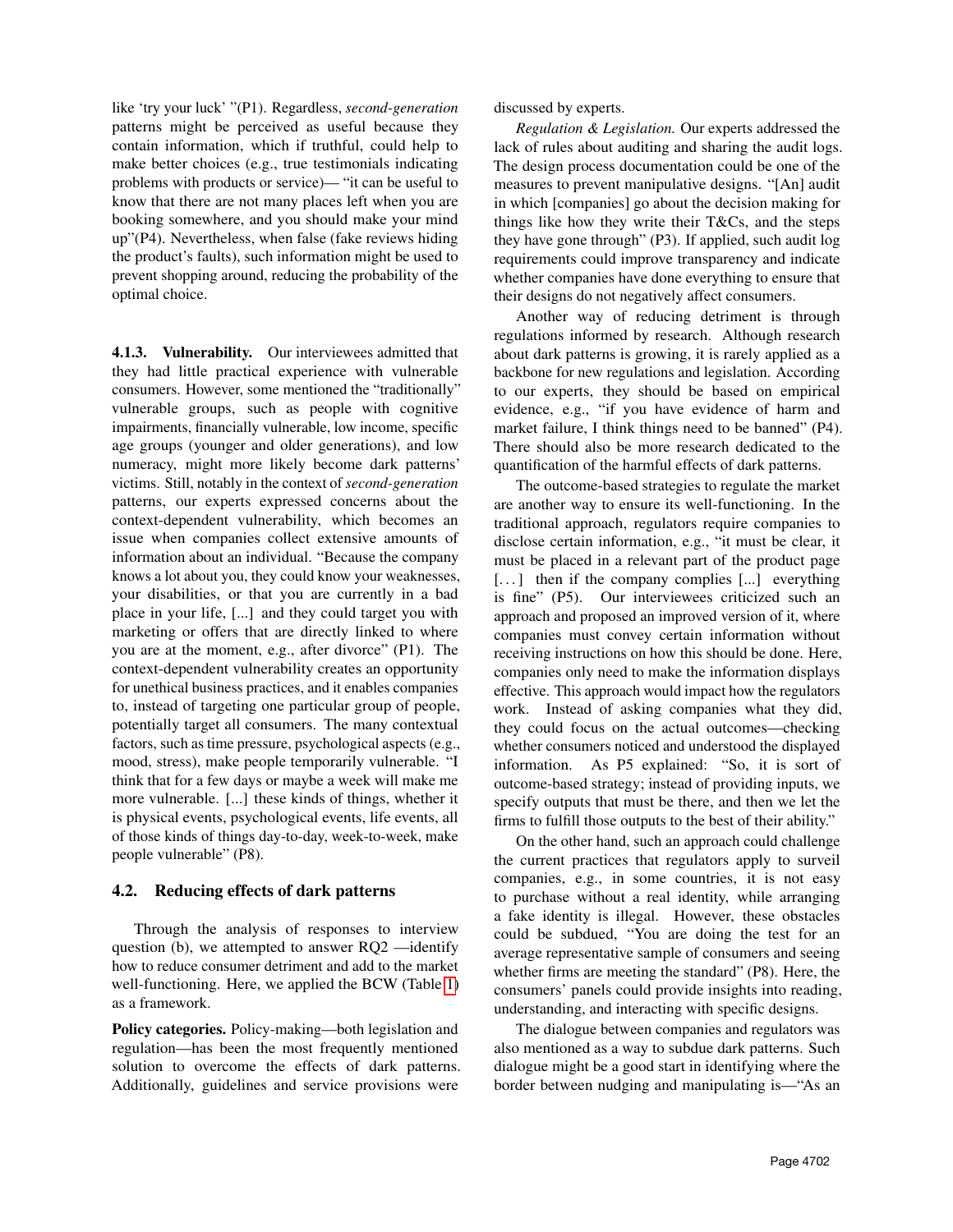like 'try your luck' "(P1). Regardless, *second-generation* patterns might be perceived as useful because they contain information, which if truthful, could help to make better choices (e.g., true testimonials indicating problems with products or service)— "it can be useful to know that there are not many places left when you are booking somewhere, and you should make your mind up"(P4). Nevertheless, when false (fake reviews hiding the product's faults), such information might be used to prevent shopping around, reducing the probability of the optimal choice.

4.1.3. Vulnerability. Our interviewees admitted that they had little practical experience with vulnerable consumers. However, some mentioned the "traditionally" vulnerable groups, such as people with cognitive impairments, financially vulnerable, low income, specific age groups (younger and older generations), and low numeracy, might more likely become dark patterns' victims. Still, notably in the context of *second-generation* patterns, our experts expressed concerns about the context-dependent vulnerability, which becomes an issue when companies collect extensive amounts of information about an individual. "Because the company knows a lot about you, they could know your weaknesses, your disabilities, or that you are currently in a bad place in your life, [...] and they could target you with marketing or offers that are directly linked to where you are at the moment, e.g., after divorce" (P1). The context-dependent vulnerability creates an opportunity for unethical business practices, and it enables companies to, instead of targeting one particular group of people, potentially target all consumers. The many contextual factors, such as time pressure, psychological aspects (e.g., mood, stress), make people temporarily vulnerable. "I think that for a few days or maybe a week will make me more vulnerable. [...] these kinds of things, whether it is physical events, psychological events, life events, all of those kinds of things day-to-day, week-to-week, make people vulnerable" (P8).

#### 4.2. Reducing effects of dark patterns

Through the analysis of responses to interview question (b), we attempted to answer RQ2 —identify how to reduce consumer detriment and add to the market well-functioning. Here, we applied the BCW (Table [1\)](#page-2-0) as a framework.

Policy categories. Policy-making—both legislation and regulation—has been the most frequently mentioned solution to overcome the effects of dark patterns. Additionally, guidelines and service provisions were discussed by experts.

*Regulation & Legislation.* Our experts addressed the lack of rules about auditing and sharing the audit logs. The design process documentation could be one of the measures to prevent manipulative designs. "[An] audit in which [companies] go about the decision making for things like how they write their T&Cs, and the steps they have gone through" (P3). If applied, such audit log requirements could improve transparency and indicate whether companies have done everything to ensure that their designs do not negatively affect consumers.

Another way of reducing detriment is through regulations informed by research. Although research about dark patterns is growing, it is rarely applied as a backbone for new regulations and legislation. According to our experts, they should be based on empirical evidence, e.g., "if you have evidence of harm and market failure, I think things need to be banned" (P4). There should also be more research dedicated to the quantification of the harmful effects of dark patterns.

The outcome-based strategies to regulate the market are another way to ensure its well-functioning. In the traditional approach, regulators require companies to disclose certain information, e.g., "it must be clear, it must be placed in a relevant part of the product page [...] then if the company complies [...] everything is fine" (P5). Our interviewees criticized such an approach and proposed an improved version of it, where companies must convey certain information without receiving instructions on how this should be done. Here, companies only need to make the information displays effective. This approach would impact how the regulators work. Instead of asking companies what they did, they could focus on the actual outcomes—checking whether consumers noticed and understood the displayed information. As P5 explained: "So, it is sort of outcome-based strategy; instead of providing inputs, we specify outputs that must be there, and then we let the firms to fulfill those outputs to the best of their ability."

On the other hand, such an approach could challenge the current practices that regulators apply to surveil companies, e.g., in some countries, it is not easy to purchase without a real identity, while arranging a fake identity is illegal. However, these obstacles could be subdued, "You are doing the test for an average representative sample of consumers and seeing whether firms are meeting the standard" (P8). Here, the consumers' panels could provide insights into reading, understanding, and interacting with specific designs.

The dialogue between companies and regulators was also mentioned as a way to subdue dark patterns. Such dialogue might be a good start in identifying where the border between nudging and manipulating is—"As an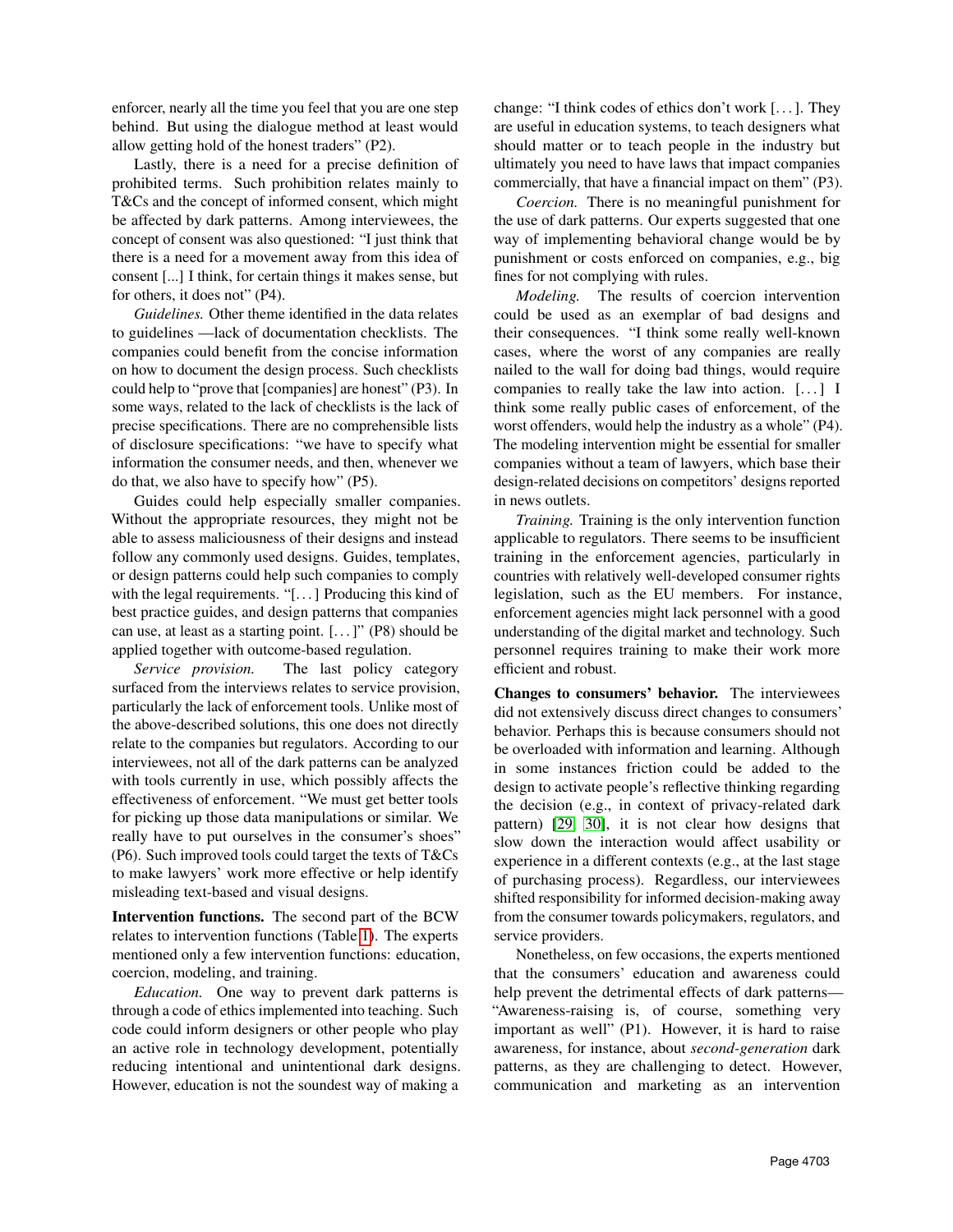enforcer, nearly all the time you feel that you are one step behind. But using the dialogue method at least would allow getting hold of the honest traders" (P2).

Lastly, there is a need for a precise definition of prohibited terms. Such prohibition relates mainly to T&Cs and the concept of informed consent, which might be affected by dark patterns. Among interviewees, the concept of consent was also questioned: "I just think that there is a need for a movement away from this idea of consent [...] I think, for certain things it makes sense, but for others, it does not" (P4).

*Guidelines.* Other theme identified in the data relates to guidelines —lack of documentation checklists. The companies could benefit from the concise information on how to document the design process. Such checklists could help to "prove that [companies] are honest" (P3). In some ways, related to the lack of checklists is the lack of precise specifications. There are no comprehensible lists of disclosure specifications: "we have to specify what information the consumer needs, and then, whenever we do that, we also have to specify how" (P5).

Guides could help especially smaller companies. Without the appropriate resources, they might not be able to assess maliciousness of their designs and instead follow any commonly used designs. Guides, templates, or design patterns could help such companies to comply with the legal requirements. "[...] Producing this kind of best practice guides, and design patterns that companies can use, at least as a starting point.  $[...]$ " (P8) should be applied together with outcome-based regulation.

*Service provision.* The last policy category surfaced from the interviews relates to service provision, particularly the lack of enforcement tools. Unlike most of the above-described solutions, this one does not directly relate to the companies but regulators. According to our interviewees, not all of the dark patterns can be analyzed with tools currently in use, which possibly affects the effectiveness of enforcement. "We must get better tools for picking up those data manipulations or similar. We really have to put ourselves in the consumer's shoes" (P6). Such improved tools could target the texts of T&Cs to make lawyers' work more effective or help identify misleading text-based and visual designs.

Intervention functions. The second part of the BCW relates to intervention functions (Table [1\)](#page-2-0). The experts mentioned only a few intervention functions: education, coercion, modeling, and training.

*Education.* One way to prevent dark patterns is through a code of ethics implemented into teaching. Such code could inform designers or other people who play an active role in technology development, potentially reducing intentional and unintentional dark designs. However, education is not the soundest way of making a change: "I think codes of ethics don't work [. . . ]. They are useful in education systems, to teach designers what should matter or to teach people in the industry but ultimately you need to have laws that impact companies commercially, that have a financial impact on them" (P3).

*Coercion.* There is no meaningful punishment for the use of dark patterns. Our experts suggested that one way of implementing behavioral change would be by punishment or costs enforced on companies, e.g., big fines for not complying with rules.

*Modeling.* The results of coercion intervention could be used as an exemplar of bad designs and their consequences. "I think some really well-known cases, where the worst of any companies are really nailed to the wall for doing bad things, would require companies to really take the law into action. [...] I think some really public cases of enforcement, of the worst offenders, would help the industry as a whole" (P4). The modeling intervention might be essential for smaller companies without a team of lawyers, which base their design-related decisions on competitors' designs reported in news outlets.

*Training.* Training is the only intervention function applicable to regulators. There seems to be insufficient training in the enforcement agencies, particularly in countries with relatively well-developed consumer rights legislation, such as the EU members. For instance, enforcement agencies might lack personnel with a good understanding of the digital market and technology. Such personnel requires training to make their work more efficient and robust.

Changes to consumers' behavior. The interviewees did not extensively discuss direct changes to consumers' behavior. Perhaps this is because consumers should not be overloaded with information and learning. Although in some instances friction could be added to the design to activate people's reflective thinking regarding the decision (e.g., in context of privacy-related dark pattern) [\[29,](#page-9-26) [30\]](#page-9-27), it is not clear how designs that slow down the interaction would affect usability or experience in a different contexts (e.g., at the last stage of purchasing process). Regardless, our interviewees shifted responsibility for informed decision-making away from the consumer towards policymakers, regulators, and service providers.

Nonetheless, on few occasions, the experts mentioned that the consumers' education and awareness could help prevent the detrimental effects of dark patterns— "Awareness-raising is, of course, something very important as well" (P1). However, it is hard to raise awareness, for instance, about *second-generation* dark patterns, as they are challenging to detect. However, communication and marketing as an intervention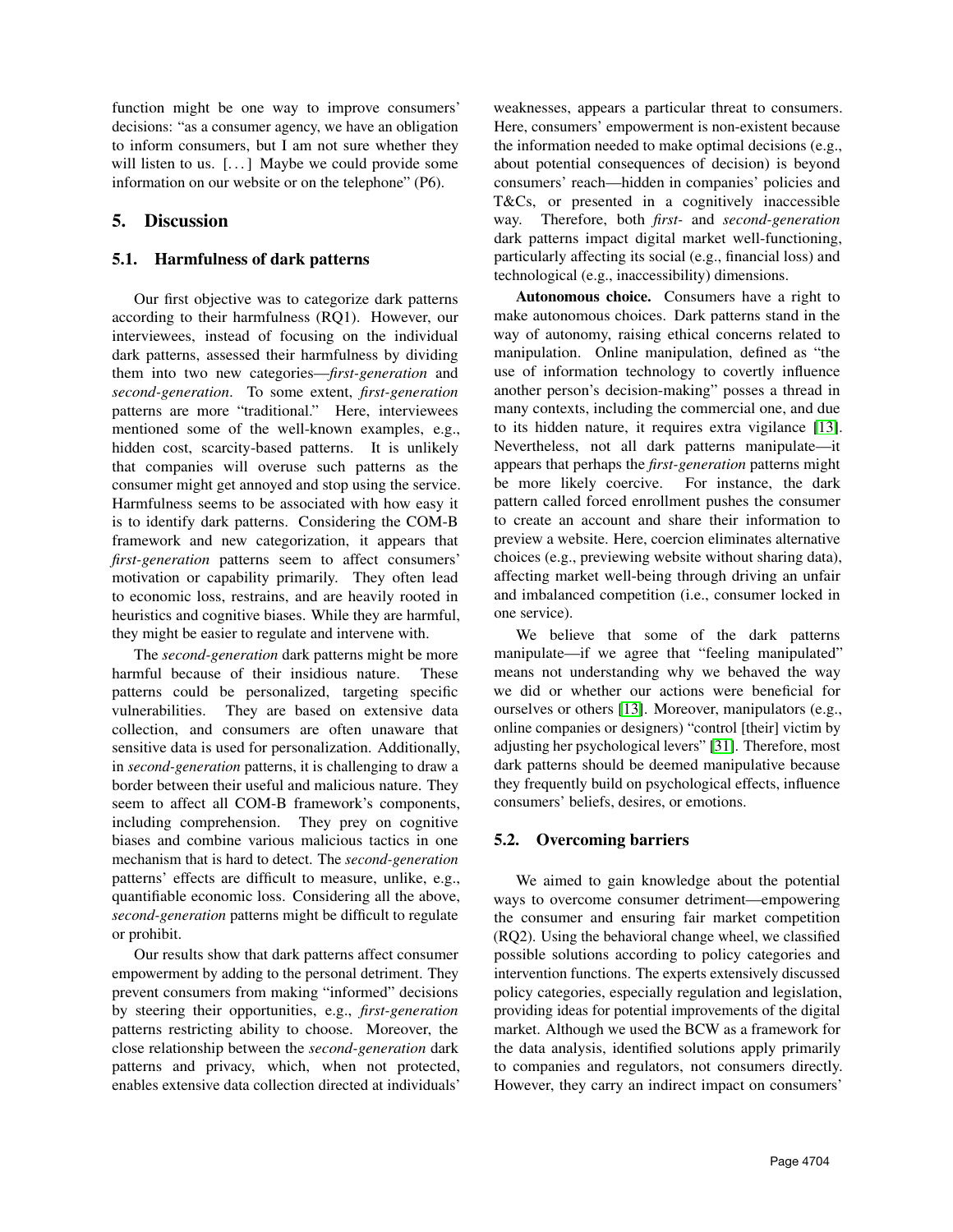function might be one way to improve consumers' decisions: "as a consumer agency, we have an obligation to inform consumers, but I am not sure whether they will listen to us.  $[\dots]$  Maybe we could provide some information on our website or on the telephone" (P6).

# 5. Discussion

### 5.1. Harmfulness of dark patterns

Our first objective was to categorize dark patterns according to their harmfulness (RQ1). However, our interviewees, instead of focusing on the individual dark patterns, assessed their harmfulness by dividing them into two new categories—*first-generation* and *second-generation*. To some extent, *first-generation* patterns are more "traditional." Here, interviewees mentioned some of the well-known examples, e.g., hidden cost, scarcity-based patterns. It is unlikely that companies will overuse such patterns as the consumer might get annoyed and stop using the service. Harmfulness seems to be associated with how easy it is to identify dark patterns. Considering the COM-B framework and new categorization, it appears that *first-generation* patterns seem to affect consumers' motivation or capability primarily. They often lead to economic loss, restrains, and are heavily rooted in heuristics and cognitive biases. While they are harmful, they might be easier to regulate and intervene with.

The *second-generation* dark patterns might be more harmful because of their insidious nature. These patterns could be personalized, targeting specific vulnerabilities. They are based on extensive data collection, and consumers are often unaware that sensitive data is used for personalization. Additionally, in *second-generation* patterns, it is challenging to draw a border between their useful and malicious nature. They seem to affect all COM-B framework's components, including comprehension. They prey on cognitive biases and combine various malicious tactics in one mechanism that is hard to detect. The *second-generation* patterns' effects are difficult to measure, unlike, e.g., quantifiable economic loss. Considering all the above, *second-generation* patterns might be difficult to regulate or prohibit.

Our results show that dark patterns affect consumer empowerment by adding to the personal detriment. They prevent consumers from making "informed" decisions by steering their opportunities, e.g., *first-generation* patterns restricting ability to choose. Moreover, the close relationship between the *second-generation* dark patterns and privacy, which, when not protected, enables extensive data collection directed at individuals'

weaknesses, appears a particular threat to consumers. Here, consumers' empowerment is non-existent because the information needed to make optimal decisions (e.g., about potential consequences of decision) is beyond consumers' reach—hidden in companies' policies and T&Cs, or presented in a cognitively inaccessible way. Therefore, both *first-* and *second-generation* dark patterns impact digital market well-functioning, particularly affecting its social (e.g., financial loss) and technological (e.g., inaccessibility) dimensions.

Autonomous choice. Consumers have a right to make autonomous choices. Dark patterns stand in the way of autonomy, raising ethical concerns related to manipulation. Online manipulation, defined as "the use of information technology to covertly influence another person's decision-making" posses a thread in many contexts, including the commercial one, and due to its hidden nature, it requires extra vigilance [\[13\]](#page-9-10). Nevertheless, not all dark patterns manipulate—it appears that perhaps the *first-generation* patterns might be more likely coercive. For instance, the dark pattern called forced enrollment pushes the consumer to create an account and share their information to preview a website. Here, coercion eliminates alternative choices (e.g., previewing website without sharing data), affecting market well-being through driving an unfair and imbalanced competition (i.e., consumer locked in one service).

We believe that some of the dark patterns manipulate—if we agree that "feeling manipulated" means not understanding why we behaved the way we did or whether our actions were beneficial for ourselves or others [\[13\]](#page-9-10). Moreover, manipulators (e.g., online companies or designers) "control [their] victim by adjusting her psychological levers" [\[31\]](#page-9-28). Therefore, most dark patterns should be deemed manipulative because they frequently build on psychological effects, influence consumers' beliefs, desires, or emotions.

# 5.2. Overcoming barriers

We aimed to gain knowledge about the potential ways to overcome consumer detriment—empowering the consumer and ensuring fair market competition (RQ2). Using the behavioral change wheel, we classified possible solutions according to policy categories and intervention functions. The experts extensively discussed policy categories, especially regulation and legislation, providing ideas for potential improvements of the digital market. Although we used the BCW as a framework for the data analysis, identified solutions apply primarily to companies and regulators, not consumers directly. However, they carry an indirect impact on consumers'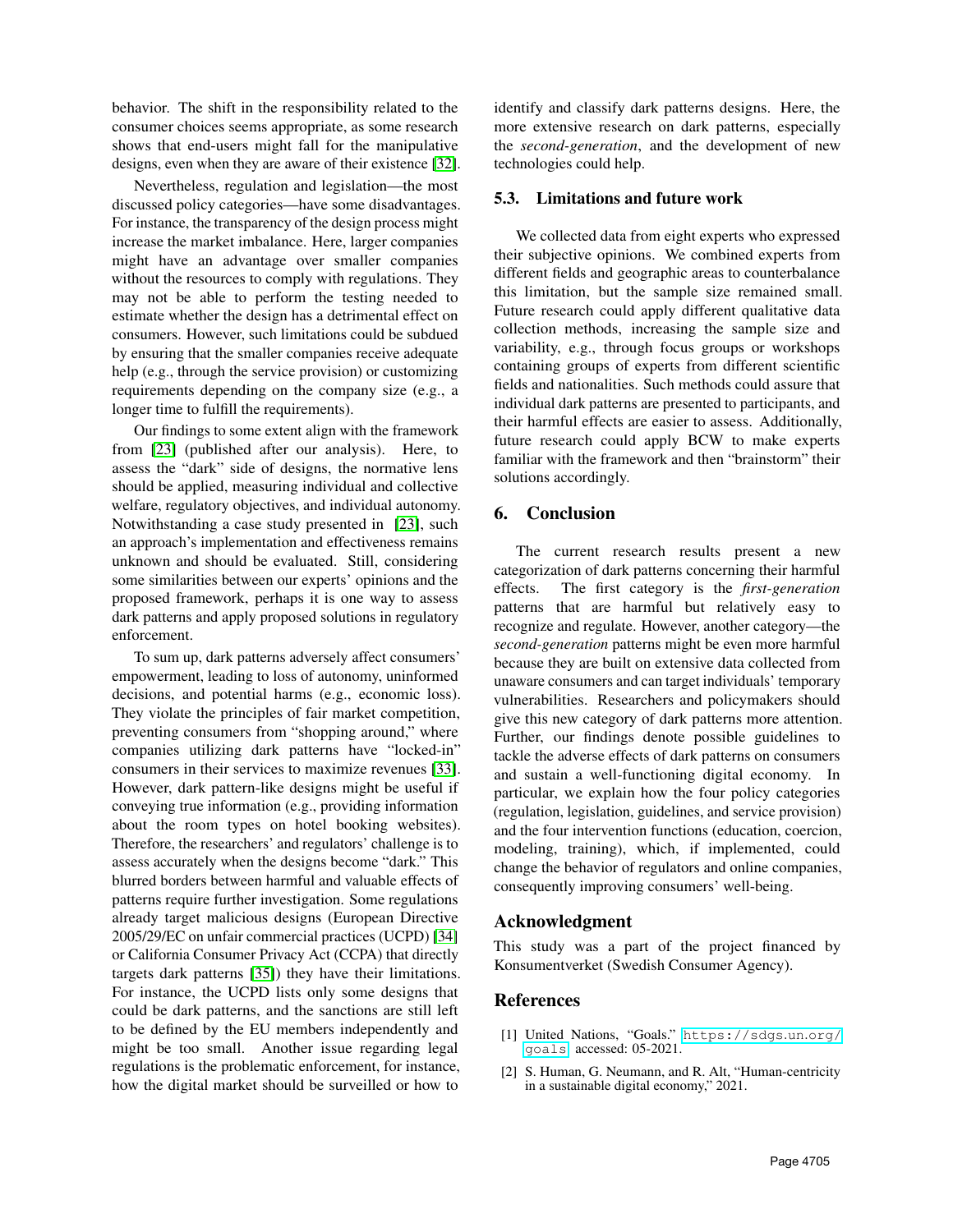behavior. The shift in the responsibility related to the consumer choices seems appropriate, as some research shows that end-users might fall for the manipulative designs, even when they are aware of their existence [\[32\]](#page-9-29).

Nevertheless, regulation and legislation—the most discussed policy categories—have some disadvantages. For instance, the transparency of the design process might increase the market imbalance. Here, larger companies might have an advantage over smaller companies without the resources to comply with regulations. They may not be able to perform the testing needed to estimate whether the design has a detrimental effect on consumers. However, such limitations could be subdued by ensuring that the smaller companies receive adequate help (e.g., through the service provision) or customizing requirements depending on the company size (e.g., a longer time to fulfill the requirements).

Our findings to some extent align with the framework from [\[23\]](#page-9-20) (published after our analysis). Here, to assess the "dark" side of designs, the normative lens should be applied, measuring individual and collective welfare, regulatory objectives, and individual autonomy. Notwithstanding a case study presented in [\[23\]](#page-9-20), such an approach's implementation and effectiveness remains unknown and should be evaluated. Still, considering some similarities between our experts' opinions and the proposed framework, perhaps it is one way to assess dark patterns and apply proposed solutions in regulatory enforcement.

To sum up, dark patterns adversely affect consumers' empowerment, leading to loss of autonomy, uninformed decisions, and potential harms (e.g., economic loss). They violate the principles of fair market competition, preventing consumers from "shopping around," where companies utilizing dark patterns have "locked-in" consumers in their services to maximize revenues [\[33\]](#page-9-30). However, dark pattern-like designs might be useful if conveying true information (e.g., providing information about the room types on hotel booking websites). Therefore, the researchers' and regulators' challenge is to assess accurately when the designs become "dark." This blurred borders between harmful and valuable effects of patterns require further investigation. Some regulations already target malicious designs (European Directive 2005/29/EC on unfair commercial practices (UCPD) [\[34\]](#page-9-31) or California Consumer Privacy Act (CCPA) that directly targets dark patterns [\[35\]](#page-9-32)) they have their limitations. For instance, the UCPD lists only some designs that could be dark patterns, and the sanctions are still left to be defined by the EU members independently and might be too small. Another issue regarding legal regulations is the problematic enforcement, for instance, how the digital market should be surveilled or how to

identify and classify dark patterns designs. Here, the more extensive research on dark patterns, especially the *second-generation*, and the development of new technologies could help.

#### 5.3. Limitations and future work

We collected data from eight experts who expressed their subjective opinions. We combined experts from different fields and geographic areas to counterbalance this limitation, but the sample size remained small. Future research could apply different qualitative data collection methods, increasing the sample size and variability, e.g., through focus groups or workshops containing groups of experts from different scientific fields and nationalities. Such methods could assure that individual dark patterns are presented to participants, and their harmful effects are easier to assess. Additionally, future research could apply BCW to make experts familiar with the framework and then "brainstorm" their solutions accordingly.

### 6. Conclusion

The current research results present a new categorization of dark patterns concerning their harmful effects. The first category is the *first-generation* patterns that are harmful but relatively easy to recognize and regulate. However, another category—the *second-generation* patterns might be even more harmful because they are built on extensive data collected from unaware consumers and can target individuals' temporary vulnerabilities. Researchers and policymakers should give this new category of dark patterns more attention. Further, our findings denote possible guidelines to tackle the adverse effects of dark patterns on consumers and sustain a well-functioning digital economy. In particular, we explain how the four policy categories (regulation, legislation, guidelines, and service provision) and the four intervention functions (education, coercion, modeling, training), which, if implemented, could change the behavior of regulators and online companies, consequently improving consumers' well-being.

#### Acknowledgment

This study was a part of the project financed by Konsumentverket (Swedish Consumer Agency).

#### References

- <span id="page-8-0"></span>[1] United Nations, "Goals." [https://sdgs](https://sdgs.un.org/goals).un.org/ [goals](https://sdgs.un.org/goals). accessed: 05-2021.
- <span id="page-8-1"></span>[2] S. Human, G. Neumann, and R. Alt, "Human-centricity in a sustainable digital economy," 2021.